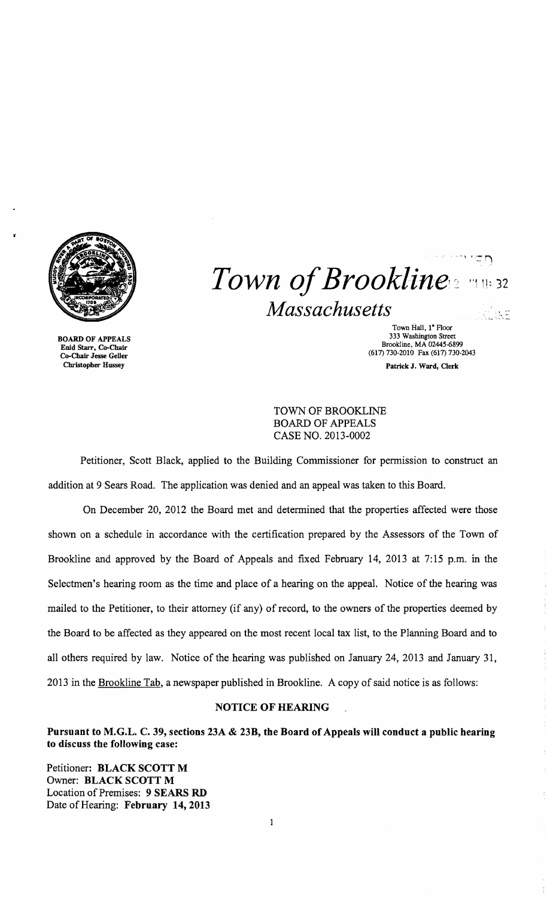

~

 $1.757$ *Town of Brookline*  $Massachusetts$ 

Town Hall, 1<sup>\*</sup> Floor<br>333 Washington Street BOARD OF APPEALS 333 Washington Street 333 Washington Street 333 Washington Street 333 Washington Street 5<br>
Enid Starr, Co-Chair (617) 730-2010 Fax (617) 730-2010 Fax (617) 730-2014<br>
Christopher Hussey Patrick J. Ward, Cle Patrick J. Ward, Clerk

TOWN OF BROOKLINE BOARD OF APPEALS CASE NO. 2013-0002

Petitioner, Scott Black, applied to the Building Commissioner for permission to construct an addition at 9 Sears Road. The application was denied and an appeal was taken to this Board.

On December 20, 2012 the Board met and determined that the properties affected were those shown on a schedule in accordance with the certification prepared by the Assessors of the Town of Brookline and approved by the Board of Appeals and fixed February 14, 2013 at 7:15 p.m. in the Selectmen's hearing room as the time and place of a hearing on the appeal. Notice of the hearing was mailed to the Petitioner, to their attorney (if any) of record, to the owners of the properties deemed by the Board to be affected as they appeared on the most recent local tax list, to the Planning Board and to all others required by law. Notice of the hearing was published on January 24,2013 and January 31, 2013 in the Brookline Tab, a newspaper published in Brookline. A copy of said notice is as follows:

## NOTICE OF HEARING

Pursuant to M.G.L. C. 39, sections 23A & 23B, the Board of Appeals will conduct a public hearing to discuss the following case:

 $\mathbf 1$ 

Petitioner: BLACK SCOTT M Owner: BLACK SCOTT M Location of Premises: 9 SEARS RD Date of Hearing: February 14,2013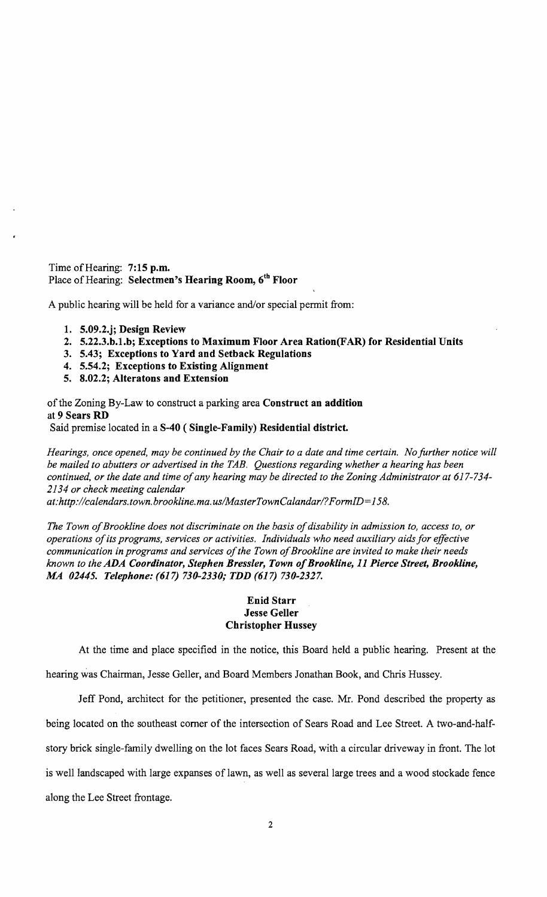Time of Hearing: 7:15 p.m. Place of Hearing: Selectmen's Hearing Room, 6th Floor

A public hearing will be held for a variance and/or special permit from:

- 1. 5.09.2.j; Design Review
- 2. 5.22.3.b.1.b; Exceptions to Maximum Floor Area Ration(FAR) for Residential Units
- 3. 5.43; Exceptions to Yard and Setback Regulations
- 4. 5.54.2; Exceptions to Existing Alignment
- 5. 8.02.2; Alteratons and Extension

of the Zoning By-Law to construct a parking area Construct an addition at 9 Sears RD Said premise located in a S-40 ( Single-Family) Residential district.

*Hearings, once opened, may be continued by the Chair to a date and time certain. No further notice will be mailed to abutters or advertised in the TAB. Questions regarding whether a hearing has been continued, or the date and time ofany hearing may be directed to the Zoning Administrator at 617-734 2134 or check meeting calendar* 

*at:http://calendars.town.brookline.ma.usIMasterTownCalandarl? FormID= 158.* 

The Town of Brookline does not discriminate on the basis of disability in admission to, access to, or *operations ofits programs, services or activities. Individuals who need auxiliary aids for effective communication in programs and services of the Town of Brookline are invited to make their needs known to the ADA Coordinator, Stephen Bressler, Town ofBrookline,* 11 *Pierce Street, Brookline, MA 02445. Telephone:* (617) *730-2330; TDD* (617) *730-2327.* 

## Enid Starr Jesse Geller Christopher Hussey

At the time and place specified in the notice, this Board held a public hearing. Present at the

hearing was Chairman, Jesse Geller, and Board Members Jonathan Book, and Chris Hussey.

Jeff Pond, architect for the petitioner, presented the case. Mr. Pond described the property as being located on the southeast comer of the intersection of Sears Road and Lee Street. A two-and-halfstory brick single-family dwelling on the lot faces Sears Road, with a circular driveway in front. The lot is well landscaped with large expanses of lawn, as well as several large trees and a wood stockade fence along the Lee Street frontage.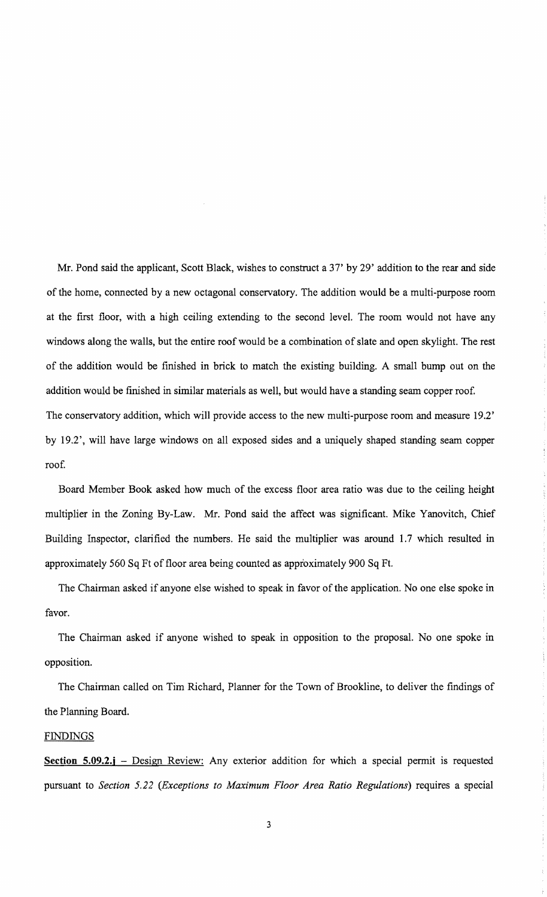Mr. Pond said the applicant, Scott Black, wishes to construct a 37' by 29' addition to the rear and side of the home, connected by a new octagonal conservatory. The addition would be a multi-purpose room at the first floor, with a high ceiling extending to the second level. The room would not have any windows along the walls, but the entire roof would be a combination of slate and open skylight. The rest of the addition would be finished in brick to match the existing building. A small bump out on the addition would be finished in similar materials as well, but would have a standing seam copper roof. The conservatory addition, which will provide access to the new multi-purpose room and measure 19.2' by 19.2', will have large windows on all exposed sides and a uniquely shaped standing seam copper roof.

Board Member Book asked how much of the excess floor area ratio was due to the ceiling height multiplier in the Zoning By-Law. Mr. Pond said the affect was significant. Mike Yanovitch, Chief Building Inspector, clarified the numbers. He said the multiplier was around 1.7 which resulted in approximately 560 Sq Ft of floor area being counted as approximately 900 Sq Ft.

The Chairman asked if anyone else wished to speak in favor of the application. No one else spoke in favor.

The Chairman asked if anyone wished to speak in opposition to the proposal. No one spoke in opposition.

The Chairman called on Tim Richard, Planner for the Town of Brookline, to deliver the findings of the Planning Board.

## FINDINGS

**Section 5.09.2.j** – Design Review: Any exterior addition for which a special permit is requested pursuant to *Section* 5.22 *(Exceptions to Maximum Floor Area Ratio Regulations)* requires a special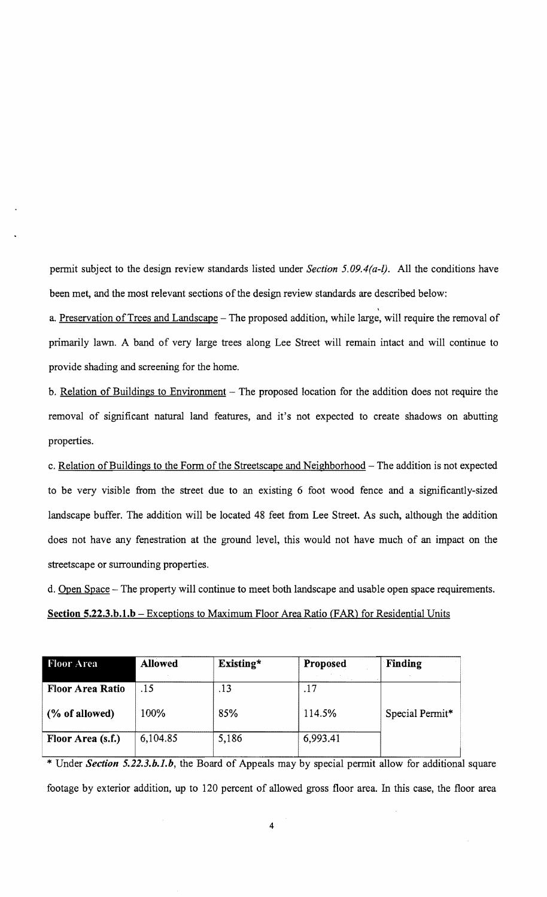pennit subject to the design review standards listed under *Section 5.09.4(a-l}.* All the conditions have been met, and the most relevant sections of the design review standards are described below:

a. Preservation of Trees and Landscape - The proposed addition, while large, will require the removal of primarily lawn. A band of very large trees along Lee Street will remain intact and will continue to provide shading and screening for the home.

b. Relation of Buildings to Environment – The proposed location for the addition does not require the removal of significant natural land features, and it's not expected to create shadows on abutting properties.

c. Relation of Buildings to the Form of the Streetscape and Neighborhood - The addition is not expected to be very visible from the street due to an existing 6 foot wood fence and a significantly-sized landscape buffer. The addition will be located 48 feet from Lee Street. As such, although the addition does not have any fenestration at the ground level, this would not have much of an impact on the streetscape or surrounding properties.

d. Open Space - The property will continue to meet both landscape and usable open space requirements. **Section 5.22.3.b.1.b** - Exceptions to Maximum Floor Area Ratio (FAR) for Residential Units

| <b>Floor Area</b>       | <b>Allowed</b> | Existing* | Proposed | Finding         |
|-------------------------|----------------|-----------|----------|-----------------|
| <b>Floor Area Ratio</b> | .15            | .13       |          | Special Permit* |
| (% of allowed)          | 100%           | 85%       | 114.5%   |                 |
| Floor Area (s.f.)       | 6,104.85       | 5,186     | 6,993.41 |                 |

\* Under *Section 5.22.3.b.l.b,* the Board of Appeals may by special permit allow for additional square footage by exterior addition, up to 120 percent of allowed gross floor area. In this case, the floor area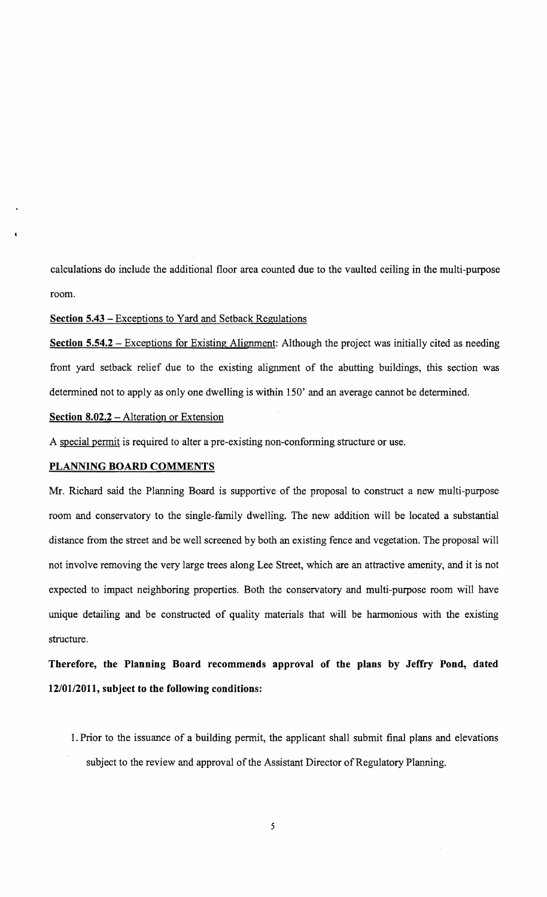calculations do include the additional floor area counted due to the vaulted ceiling in the multi-purpose room.

Section 5.43 - Exceptions to Yard and Setback Regulations

Section 5.54.2 – Exceptions for Existing Alignment: Although the project was initially cited as needing front yard setback relief due to the existing alignment of the abutting buildings, this section was determined not to apply as only one dwelling is within 150' and an average cannot be determined.

Section 8.02.2 – Alteration or Extension

A special permit is required to alter a pre-existing non-conforming structure or use.

## PLANNING BOARD COMMENTS

Mr. Richard said the Planning Board is supportive of the proposal to construct a new multi-purpose room and conservatory to the single-family dwelling. The new addition will be located a substantial distance from the street and be well screened by both an existing fence and vegetation. The proposal will not involve removing the very large trees along Lee Street, which are an attractive amenity, and it is not expected to impact neighboring properties. Both the conservatory and multi-purpose room will have unique detailing and be constructed of quality materials that will be harmonious with the existing structure.

Therefore, the Planning Board recommends approval of the plans by Jeffry Pond, dated *12/0112011,* subject to the following conditions:

1. Prior to the issuance of a building permit, the applicant shall submit final plans and elevations subject to the review and approval of the Assistant Director of Regulatory Planning.

5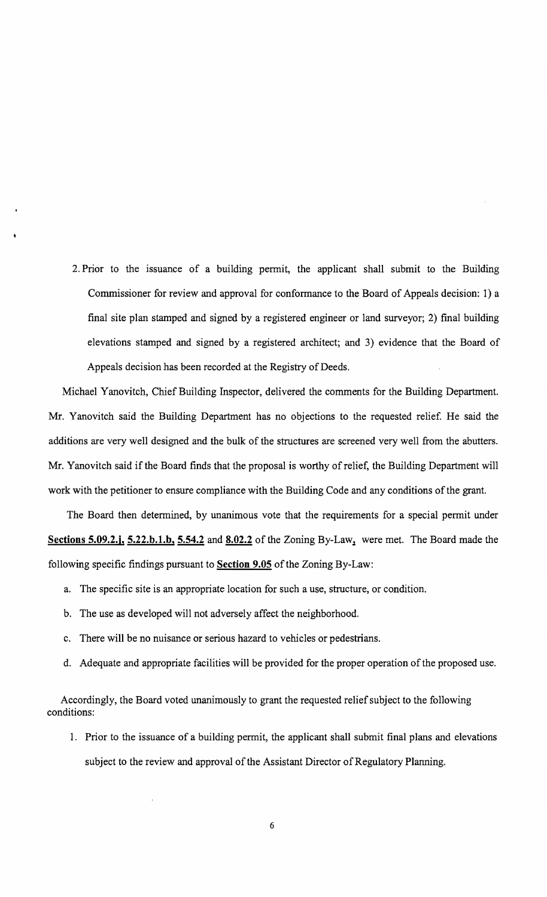2. Prior to the issuance of a building permit, the applicant shall submit to the Building Commissioner for review and approval for conformance to the Board of Appeals decision: 1) a final site plan stamped and signed by a registered engineer or land surveyor; 2) final building elevations stamped and signed by a registered architect; and 3) evidence that the Board of Appeals decision has been recorded at the Registry of Deeds.

Michael Yanovitch, Chief Building Inspector, delivered the comments for the Building Department. Mr. Yanovitch said the Building Department has no objections to the requested relief. He said the additions are very well designed and the bulk of the structures are screened very well from the abutters. Mr. Yanovitch said if the Board finds that the proposal is worthy of relief, the Building Department will work with the petitioner to ensure compliance with the Building Code and any conditions of the grant.

The Board then determined, by unanimous vote that the requirements for a special permit under Sections 5.09.2.j,  $5.22 \text{ b}$ .1.b,  $5.54.2$  and  $8.02.2$  of the Zoning By-Law, were met. The Board made the following specific findings pursuant to Section 9.05 of the Zoning By-Law:

- a. The specific site is an appropriate location for such a use, structure, or condition.
- b. The use as developed will not adversely affect the neighborhood.
- c. There will be no nuisance or serious hazard to vehicles or pedestrians.
- d. Adequate and appropriate facilities will be provided for the proper operation of the proposed use.

Accordingly, the Board voted unanimously to grant the requested relief subject to the following conditions:

1. Prior to the issuance of a building permit, the applicant shall submit final plans and elevations subject to the review and approval of the Assistant Director of Regulatory Planning.